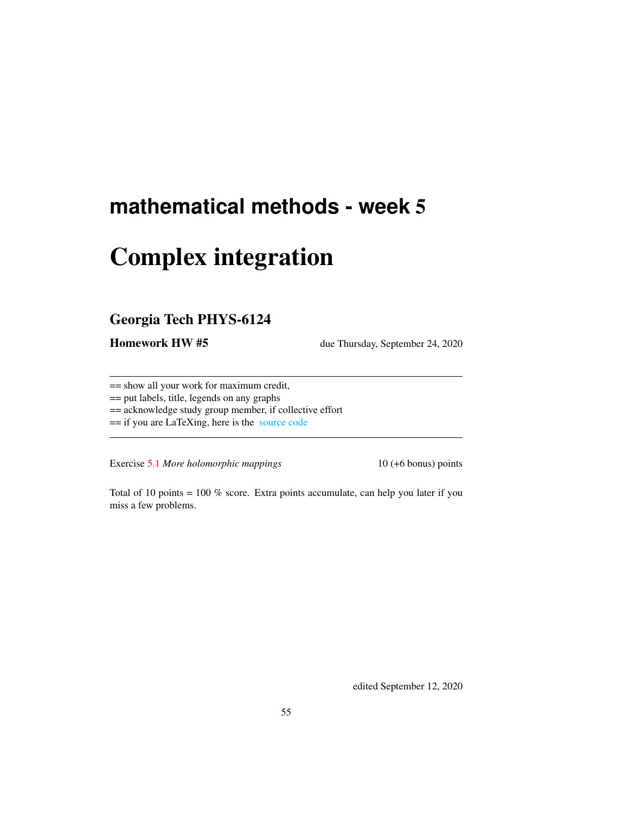# **mathematical methods - week** 5

# Complex integration

## Georgia Tech PHYS-6124

**Homework HW #5** due Thursday, September 24, 2020

== show all your work for maximum credit,

== put labels, title, legends on any graphs

== acknowledge study group member, if collective effort

== if you are LaTeXing, here is the [source code](http://chaosbook.org/~predrag/courses/PHYS-6124-20/exerWeek5.tex)

Exercise [5.1](#page-2-0) *More holomorphic mappings* 10 (+6 bonus) points

Total of 10 points = 100 % score. Extra points accumulate, can help you later if you miss a few problems.

edited September 12, 2020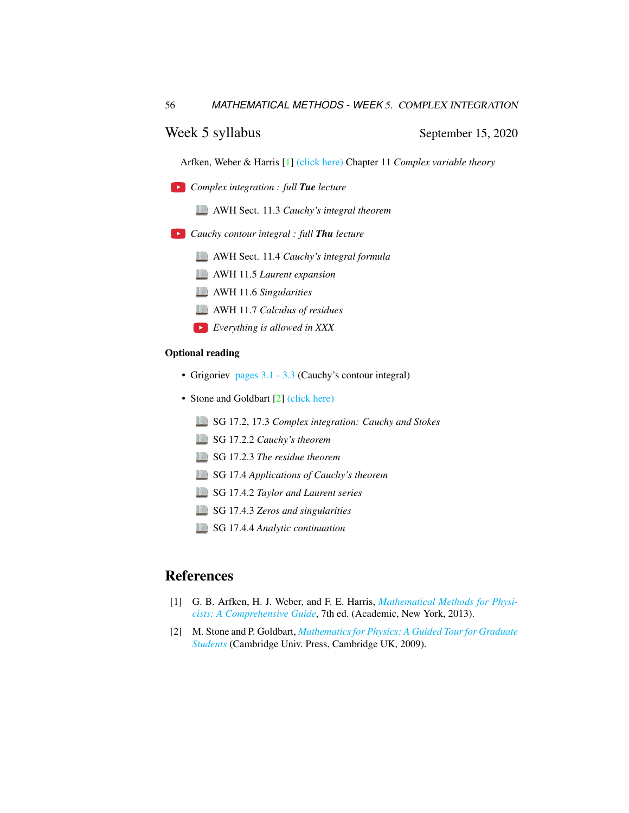## Week 5 syllabus September 15, 2020

Arfken, Weber & Harris [\[1\]](#page-1-0) [\(click here\)](http://ChaosBook.org/library/ArWeHa13chap11.pdf) Chapter 11 *Complex variable theory*

*Complex integration : full Tue lecture*

AWH Sect. 11.3 *Cauchy's integral theorem*

- *Cauchy contour integral : full Thu lecture*
	- AWH Sect. 11.4 *Cauchy's integral formula*
	- AWH 11.5 *Laurent expansion*
	- AWH 11.6 *Singularities*
	- AWH 11.7 *Calculus of residues*
	- *Everything is allowed in XXX*

### Optional reading

- Grigoriev [pages 3.1 3.3](http://ChaosBook.org/~predrag/courses/PHYS-6124-20/ln3.pdf) (Cauchy's contour integral)
- Stone and Goldbart [\[2\]](#page-1-1) [\(click here\)](http://ChaosBook.org/library/StGoChap17.pdf)
	- SG 17.2, 17.3 *Complex integration: Cauchy and Stokes*
	- SG 17.2.2 *Cauchy's theorem*
	- SG 17.2.3 *The residue theorem*
	- SG 17.4 *Applications of Cauchy's theorem*
	- SG 17.4.2 *Taylor and Laurent series*
	- SG 17.4.3 *Zeros and singularities*
	- SG 17.4.4 *Analytic continuation*

### References

- <span id="page-1-0"></span>[1] G. B. Arfken, H. J. Weber, and F. E. Harris, *[Mathematical Methods for Physi](http://books.google.com/books?vid=ISBN9780123846549)[cists: A Comprehensive Guide](http://books.google.com/books?vid=ISBN9780123846549)*, 7th ed. (Academic, New York, 2013).
- <span id="page-1-1"></span>[2] M. Stone and P. Goldbart, *[Mathematics for Physics: A Guided Tour for Graduate](http://dx.doi.org/10.1017/cbo9780511627040) [Students](http://dx.doi.org/10.1017/cbo9780511627040)* (Cambridge Univ. Press, Cambridge UK, 2009).